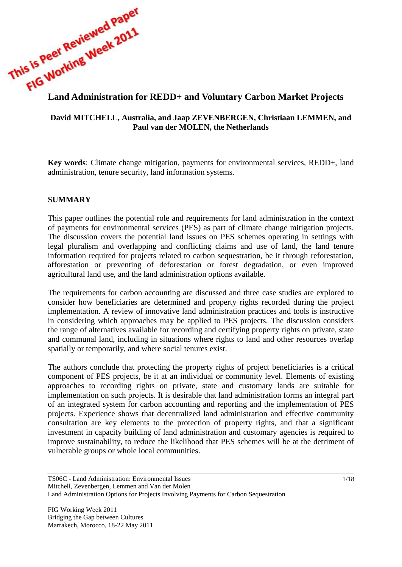

# **David MITCHELL, Australia, and Jaap ZEVENBERGEN, Christiaan LEMMEN, and Paul van der MOLEN, the Netherlands**

**Key words**: Climate change mitigation, payments for environmental services, REDD+, land administration, tenure security, land information systems.

## **SUMMARY**

This paper outlines the potential role and requirements for land administration in the context of payments for environmental services (PES) as part of climate change mitigation projects. The discussion covers the potential land issues on PES schemes operating in settings with legal pluralism and overlapping and conflicting claims and use of land, the land tenure information required for projects related to carbon sequestration, be it through reforestation, afforestation or preventing of deforestation or forest degradation, or even improved agricultural land use, and the land administration options available.

The requirements for carbon accounting are discussed and three case studies are explored to consider how beneficiaries are determined and property rights recorded during the project implementation. A review of innovative land administration practices and tools is instructive in considering which approaches may be applied to PES projects. The discussion considers the range of alternatives available for recording and certifying property rights on private, state and communal land, including in situations where rights to land and other resources overlap spatially or temporarily, and where social tenures exist.

The authors conclude that protecting the property rights of project beneficiaries is a critical component of PES projects, be it at an individual or community level. Elements of existing approaches to recording rights on private, state and customary lands are suitable for implementation on such projects. It is desirable that land administration forms an integral part of an integrated system for carbon accounting and reporting and the implementation of PES projects. Experience shows that decentralized land administration and effective community consultation are key elements to the protection of property rights, and that a significant investment in capacity building of land administration and customary agencies is required to improve sustainability, to reduce the likelihood that PES schemes will be at the detriment of vulnerable groups or whole local communities.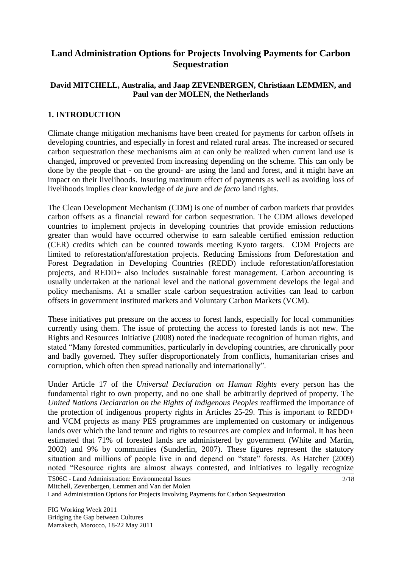# **Land Administration Options for Projects Involving Payments for Carbon Sequestration**

### **David MITCHELL, Australia, and Jaap ZEVENBERGEN, Christiaan LEMMEN, and Paul van der MOLEN, the Netherlands**

## **1. INTRODUCTION**

Climate change mitigation mechanisms have been created for payments for carbon offsets in developing countries, and especially in forest and related rural areas. The increased or secured carbon sequestration these mechanisms aim at can only be realized when current land use is changed, improved or prevented from increasing depending on the scheme. This can only be done by the people that - on the ground- are using the land and forest, and it might have an impact on their livelihoods. Insuring maximum effect of payments as well as avoiding loss of livelihoods implies clear knowledge of *de jure* and *de facto* land rights.

The Clean Development Mechanism (CDM) is one of number of carbon markets that provides carbon offsets as a financial reward for carbon sequestration. The CDM allows developed countries to implement projects in developing countries that provide emission reductions greater than would have occurred otherwise to earn saleable certified emission reduction (CER) credits which can be counted towards meeting Kyoto targets. CDM Projects are limited to reforestation/afforestation projects. Reducing Emissions from Deforestation and Forest Degradation in Developing Countries (REDD) include reforestation/afforestation projects, and REDD+ also includes sustainable forest management. Carbon accounting is usually undertaken at the national level and the national government develops the legal and policy mechanisms. At a smaller scale carbon sequestration activities can lead to carbon offsets in government instituted markets and Voluntary Carbon Markets (VCM).

These initiatives put pressure on the access to forest lands, especially for local communities currently using them. The issue of protecting the access to forested lands is not new. The Rights and Resources Initiative (2008) noted the inadequate recognition of human rights, and stated "Many forested communities, particularly in developing countries, are chronically poor and badly governed. They suffer disproportionately from conflicts, humanitarian crises and corruption, which often then spread nationally and internationally".

Under Article 17 of the *Universal Declaration on Human Rights* every person has the fundamental right to own property, and no one shall be arbitrarily deprived of property. The *United Nations Declaration on the Rights of Indigenous Peoples* reaffirmed the importance of the protection of indigenous property rights in Articles 25-29. This is important to REDD+ and VCM projects as many PES programmes are implemented on customary or indigenous lands over which the land tenure and rights to resources are complex and informal. It has been estimated that 71% of forested lands are administered by government (White and Martin, 2002) and 9% by communities (Sunderlin, 2007). These figures represent the statutory situation and millions of people live in and depend on "state" forests. As Hatcher (2009) noted "Resource rights are almost always contested, and initiatives to legally recognize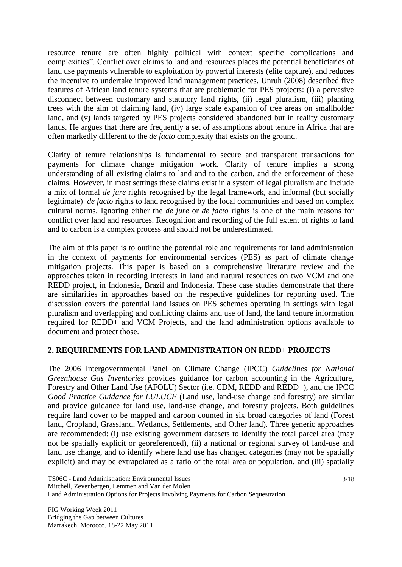resource tenure are often highly political with context specific complications and complexities". Conflict over claims to land and resources places the potential beneficiaries of land use payments vulnerable to exploitation by powerful interests (elite capture), and reduces the incentive to undertake improved land management practices. Unruh (2008) described five features of African land tenure systems that are problematic for PES projects: (i) a pervasive disconnect between customary and statutory land rights, (ii) legal pluralism, (iii) planting trees with the aim of claiming land, (iv) large scale expansion of tree areas on smallholder land, and (v) lands targeted by PES projects considered abandoned but in reality customary lands. He argues that there are frequently a set of assumptions about tenure in Africa that are often markedly different to the *de facto* complexity that exists on the ground.

Clarity of tenure relationships is fundamental to secure and transparent transactions for payments for climate change mitigation work. Clarity of tenure implies a strong understanding of all existing claims to land and to the carbon, and the enforcement of these claims. However, in most settings these claims exist in a system of legal pluralism and include a mix of formal *de jure* rights recognised by the legal framework, and informal (but socially legitimate) *de facto* rights to land recognised by the local communities and based on complex cultural norms. Ignoring either the *de jure* or *de facto* rights is one of the main reasons for conflict over land and resources. Recognition and recording of the full extent of rights to land and to carbon is a complex process and should not be underestimated.

The aim of this paper is to outline the potential role and requirements for land administration in the context of payments for environmental services (PES) as part of climate change mitigation projects. This paper is based on a comprehensive literature review and the approaches taken in recording interests in land and natural resources on two VCM and one REDD project, in Indonesia, Brazil and Indonesia. These case studies demonstrate that there are similarities in approaches based on the respective guidelines for reporting used. The discussion covers the potential land issues on PES schemes operating in settings with legal pluralism and overlapping and conflicting claims and use of land, the land tenure information required for REDD+ and VCM Projects, and the land administration options available to document and protect those.

# **2. REQUIREMENTS FOR LAND ADMINISTRATION ON REDD+ PROJECTS**

The 2006 Intergovernmental Panel on Climate Change (IPCC) *Guidelines for National Greenhouse Gas Inventories* provides guidance for carbon accounting in the Agriculture, Forestry and Other Land Use (AFOLU) Sector (i.e. CDM, REDD and REDD+), and the IPCC *Good Practice Guidance for LULUCF* (Land use, land-use change and forestry) are similar and provide guidance for land use, land-use change, and forestry projects. Both guidelines require land cover to be mapped and carbon counted in six broad categories of land (Forest land, Cropland, Grassland, Wetlands, Settlements, and Other land). Three generic approaches are recommended: (i) use existing government datasets to identify the total parcel area (may not be spatially explicit or georeferenced), (ii) a national or regional survey of land-use and land use change, and to identify where land use has changed categories (may not be spatially explicit) and may be extrapolated as a ratio of the total area or population, and (iii) spatially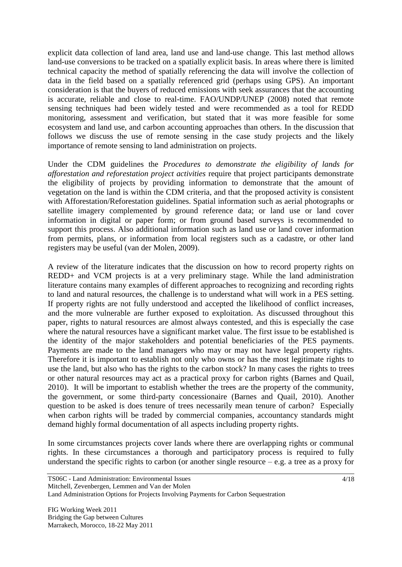explicit data collection of land area, land use and land-use change. This last method allows land-use conversions to be tracked on a spatially explicit basis. In areas where there is limited technical capacity the method of spatially referencing the data will involve the collection of data in the field based on a spatially referenced grid (perhaps using GPS). An important consideration is that the buyers of reduced emissions with seek assurances that the accounting is accurate, reliable and close to real-time. FAO/UNDP/UNEP (2008) noted that remote sensing techniques had been widely tested and were recommended as a tool for REDD monitoring, assessment and verification, but stated that it was more feasible for some ecosystem and land use, and carbon accounting approaches than others. In the discussion that follows we discuss the use of remote sensing in the case study projects and the likely importance of remote sensing to land administration on projects.

Under the CDM guidelines the *Procedures to demonstrate the eligibility of lands for afforestation and reforestation project activities* require that project participants demonstrate the eligibility of projects by providing information to demonstrate that the amount of vegetation on the land is within the CDM criteria, and that the proposed activity is consistent with Afforestation/Reforestation guidelines. Spatial information such as aerial photographs or satellite imagery complemented by ground reference data; or land use or land cover information in digital or paper form; or from ground based surveys is recommended to support this process. Also additional information such as land use or land cover information from permits, plans, or information from local registers such as a cadastre, or other land registers may be useful (van der Molen, 2009).

A review of the literature indicates that the discussion on how to record property rights on REDD+ and VCM projects is at a very preliminary stage. While the land administration literature contains many examples of different approaches to recognizing and recording rights to land and natural resources, the challenge is to understand what will work in a PES setting. If property rights are not fully understood and accepted the likelihood of conflict increases, and the more vulnerable are further exposed to exploitation. As discussed throughout this paper, rights to natural resources are almost always contested, and this is especially the case where the natural resources have a significant market value. The first issue to be established is the identity of the major stakeholders and potential beneficiaries of the PES payments. Payments are made to the land managers who may or may not have legal property rights. Therefore it is important to establish not only who owns or has the most legitimate rights to use the land, but also who has the rights to the carbon stock? In many cases the rights to trees or other natural resources may act as a practical proxy for carbon rights (Barnes and Quail, 2010). It will be important to establish whether the trees are the property of the community, the government, or some third-party concessionaire (Barnes and Quail, 2010). Another question to be asked is does tenure of trees necessarily mean tenure of carbon? Especially when carbon rights will be traded by commercial companies, accountancy standards might demand highly formal documentation of all aspects including property rights.

In some circumstances projects cover lands where there are overlapping rights or communal rights. In these circumstances a thorough and participatory process is required to fully understand the specific rights to carbon (or another single resource  $-e.g.$  a tree as a proxy for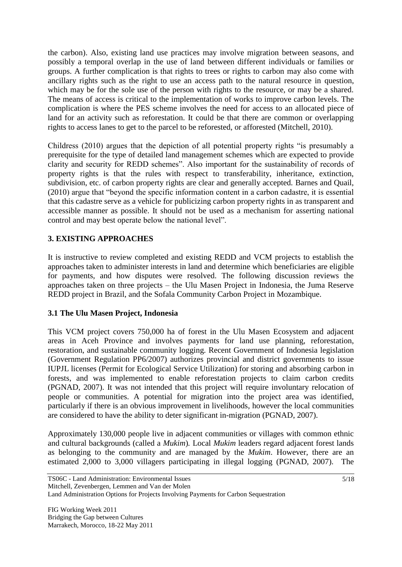the carbon). Also, existing land use practices may involve migration between seasons, and possibly a temporal overlap in the use of land between different individuals or families or groups. A further complication is that rights to trees or rights to carbon may also come with ancillary rights such as the right to use an access path to the natural resource in question, which may be for the sole use of the person with rights to the resource, or may be a shared. The means of access is critical to the implementation of works to improve carbon levels. The complication is where the PES scheme involves the need for access to an allocated piece of land for an activity such as reforestation. It could be that there are common or overlapping rights to access lanes to get to the parcel to be reforested, or afforested (Mitchell, 2010).

Childress (2010) argues that the depiction of all potential property rights "is presumably a prerequisite for the type of detailed land management schemes which are expected to provide clarity and security for REDD schemes". Also important for the sustainability of records of property rights is that the rules with respect to transferability, inheritance, extinction, subdivision, etc. of carbon property rights are clear and generally accepted. Barnes and Quail, (2010) argue that "beyond the specific information content in a carbon cadastre, it is essential that this cadastre serve as a vehicle for publicizing carbon property rights in as transparent and accessible manner as possible. It should not be used as a mechanism for asserting national control and may best operate below the national level".

# **3. EXISTING APPROACHES**

It is instructive to review completed and existing REDD and VCM projects to establish the approaches taken to administer interests in land and determine which beneficiaries are eligible for payments, and how disputes were resolved. The following discussion reviews the approaches taken on three projects – the Ulu Masen Project in Indonesia, the Juma Reserve REDD project in Brazil, and the Sofala Community Carbon Project in Mozambique.

# **3.1 The Ulu Masen Project, Indonesia**

This VCM project covers 750,000 ha of forest in the Ulu Masen Ecosystem and adjacent areas in Aceh Province and involves payments for land use planning, reforestation, restoration, and sustainable community logging. Recent Government of Indonesia legislation (Government Regulation PP6/2007) authorizes provincial and district governments to issue IUPJL licenses (Permit for Ecological Service Utilization) for storing and absorbing carbon in forests, and was implemented to enable reforestation projects to claim carbon credits (PGNAD, 2007). It was not intended that this project will require involuntary relocation of people or communities. A potential for migration into the project area was identified, particularly if there is an obvious improvement in livelihoods, however the local communities are considered to have the ability to deter significant in-migration (PGNAD, 2007).

Approximately 130,000 people live in adjacent communities or villages with common ethnic and cultural backgrounds (called a *Mukim*)*.* Local *Mukim* leaders regard adjacent forest lands as belonging to the community and are managed by the *Mukim*. However, there are an estimated 2,000 to 3,000 villagers participating in illegal logging (PGNAD, 2007). The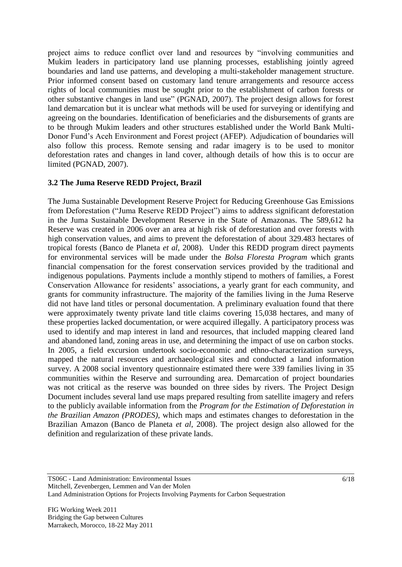project aims to reduce conflict over land and resources by "involving communities and Mukim leaders in participatory land use planning processes, establishing jointly agreed boundaries and land use patterns, and developing a multi-stakeholder management structure. Prior informed consent based on customary land tenure arrangements and resource access rights of local communities must be sought prior to the establishment of carbon forests or other substantive changes in land use" (PGNAD, 2007). The project design allows for forest land demarcation but it is unclear what methods will be used for surveying or identifying and agreeing on the boundaries. Identification of beneficiaries and the disbursements of grants are to be through Mukim leaders and other structures established under the World Bank Multi-Donor Fund's Aceh Environment and Forest project (AFEP). Adjudication of boundaries will also follow this process. Remote sensing and radar imagery is to be used to monitor deforestation rates and changes in land cover, although details of how this is to occur are limited (PGNAD, 2007).

#### **3.2 The Juma Reserve REDD Project, Brazil**

The Juma Sustainable Development Reserve Project for Reducing Greenhouse Gas Emissions from Deforestation ("Juma Reserve REDD Project") aims to address significant deforestation in the Juma Sustainable Development Reserve in the State of Amazonas. The 589,612 ha Reserve was created in 2006 over an area at high risk of deforestation and over forests with high conservation values, and aims to prevent the deforestation of about 329.483 hectares of tropical forests (Banco de Planeta *et al*, 2008). Under this REDD program direct payments for environmental services will be made under the *Bolsa Floresta Program* which grants financial compensation for the forest conservation services provided by the traditional and indigenous populations. Payments include a monthly stipend to mothers of families, a Forest Conservation Allowance for residents' associations, a yearly grant for each community, and grants for community infrastructure. The majority of the families living in the Juma Reserve did not have land titles or personal documentation. A preliminary evaluation found that there were approximately twenty private land title claims covering 15,038 hectares, and many of these properties lacked documentation, or were acquired illegally. A participatory process was used to identify and map interest in land and resources, that included mapping cleared land and abandoned land, zoning areas in use, and determining the impact of use on carbon stocks. In 2005, a field excursion undertook socio-economic and ethno-characterization surveys, mapped the natural resources and archaeological sites and conducted a land information survey. A 2008 social inventory questionnaire estimated there were 339 families living in 35 communities within the Reserve and surrounding area. Demarcation of project boundaries was not critical as the reserve was bounded on three sides by rivers. The Project Design Document includes several land use maps prepared resulting from satellite imagery and refers to the publicly available information from the *Program for the Estimation of Deforestation in the Brazilian Amazon (PRODES)*, which maps and estimates changes to deforestation in the Brazilian Amazon (Banco de Planeta *et al*, 2008). The project design also allowed for the definition and regularization of these private lands.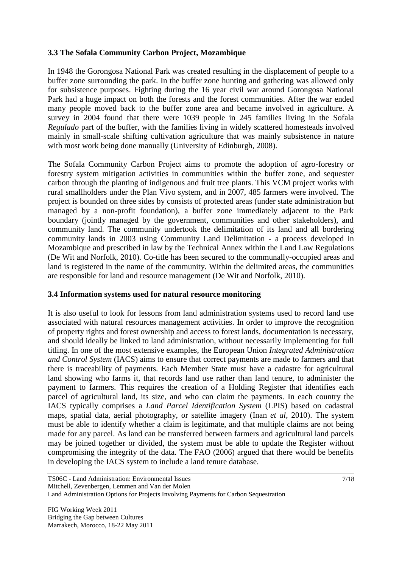### **3.3 The Sofala Community Carbon Project, Mozambique**

In 1948 the Gorongosa National Park was created resulting in the displacement of people to a buffer zone surrounding the park. In the buffer zone hunting and gathering was allowed only for subsistence purposes. Fighting during the 16 year civil war around Gorongosa National Park had a huge impact on both the forests and the forest communities. After the war ended many people moved back to the buffer zone area and became involved in agriculture. A survey in 2004 found that there were 1039 people in 245 families living in the Sofala *Regulado* part of the buffer, with the families living in widely scattered homesteads involved mainly in small-scale shifting cultivation agriculture that was mainly subsistence in nature with most work being done manually (University of Edinburgh, 2008).

The Sofala Community Carbon Project aims to promote the adoption of agro-forestry or forestry system mitigation activities in communities within the buffer zone, and sequester carbon through the planting of indigenous and fruit tree plants. This VCM project works with rural smallholders under the Plan Vivo system, and in 2007, 485 farmers were involved. The project is bounded on three sides by consists of protected areas (under state administration but managed by a non-profit foundation), a buffer zone immediately adjacent to the Park boundary (jointly managed by the government, communities and other stakeholders), and community land. The community undertook the delimitation of its land and all bordering community lands in 2003 using Community Land Delimitation - a process developed in Mozambique and prescribed in law by the Technical Annex within the Land Law Regulations (De Wit and Norfolk, 2010). Co-title has been secured to the communally-occupied areas and land is registered in the name of the community. Within the delimited areas, the communities are responsible for land and resource management (De Wit and Norfolk, 2010).

#### **3.4 Information systems used for natural resource monitoring**

It is also useful to look for lessons from land administration systems used to record land use associated with natural resources management activities. In order to improve the recognition of property rights and forest ownership and access to forest lands, documentation is necessary, and should ideally be linked to land administration, without necessarily implementing for full titling. In one of the most extensive examples, the European Union *Integrated Administration and Control System* (IACS) aims to ensure that correct payments are made to farmers and that there is traceability of payments. Each Member State must have a cadastre for agricultural land showing who farms it, that records land use rather than land tenure, to administer the payment to farmers. This requires the creation of a Holding Register that identifies each parcel of agricultural land, its size, and who can claim the payments. In each country the IACS typically comprises a *Land Parcel Identification System* (LPIS) based on cadastral maps, spatial data, aerial photography, or satellite imagery (Inan *et al*, 2010). The system must be able to identify whether a claim is legitimate, and that multiple claims are not being made for any parcel. As land can be transferred between farmers and agricultural land parcels may be joined together or divided, the system must be able to update the Register without compromising the integrity of the data. The FAO (2006) argued that there would be benefits in developing the IACS system to include a land tenure database.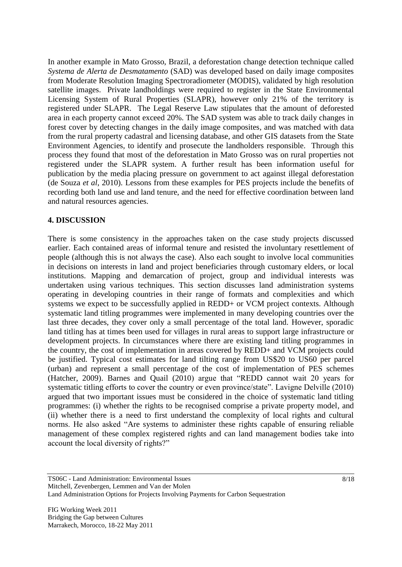In another example in Mato Grosso, Brazil, a deforestation change detection technique called *Systema de Alerta de Desmatamento* (SAD) was developed based on daily image composites from Moderate Resolution Imaging Spectroradiometer (MODIS), validated by high resolution satellite images. Private landholdings were required to register in the State Environmental Licensing System of Rural Properties (SLAPR), however only 21% of the territory is registered under SLAPR. The Legal Reserve Law stipulates that the amount of deforested area in each property cannot exceed 20%. The SAD system was able to track daily changes in forest cover by detecting changes in the daily image composites, and was matched with data from the rural property cadastral and licensing database, and other GIS datasets from the State Environment Agencies, to identify and prosecute the landholders responsible. Through this process they found that most of the deforestation in Mato Grosso was on rural properties not registered under the SLAPR system. A further result has been information useful for publication by the media placing pressure on government to act against illegal deforestation (de Souza *et al*, 2010). Lessons from these examples for PES projects include the benefits of recording both land use and land tenure, and the need for effective coordination between land and natural resources agencies.

#### **4. DISCUSSION**

There is some consistency in the approaches taken on the case study projects discussed earlier. Each contained areas of informal tenure and resisted the involuntary resettlement of people (although this is not always the case). Also each sought to involve local communities in decisions on interests in land and project beneficiaries through customary elders, or local institutions. Mapping and demarcation of project, group and individual interests was undertaken using various techniques. This section discusses land administration systems operating in developing countries in their range of formats and complexities and which systems we expect to be successfully applied in REDD+ or VCM project contexts. Although systematic land titling programmes were implemented in many developing countries over the last three decades, they cover only a small percentage of the total land. However, sporadic land titling has at times been used for villages in rural areas to support large infrastructure or development projects. In circumstances where there are existing land titling programmes in the country, the cost of implementation in areas covered by REDD+ and VCM projects could be justified. Typical cost estimates for land tilting range from US\$20 to US60 per parcel (urban) and represent a small percentage of the cost of implementation of PES schemes (Hatcher, 2009). Barnes and Quail (2010) argue that "REDD cannot wait 20 years for systematic titling efforts to cover the country or even province/state". Lavigne Delville (2010) argued that two important issues must be considered in the choice of systematic land titling programmes: (i) whether the rights to be recognised comprise a private property model, and (ii) whether there is a need to first understand the complexity of local rights and cultural norms. He also asked "Are systems to administer these rights capable of ensuring reliable management of these complex registered rights and can land management bodies take into account the local diversity of rights?"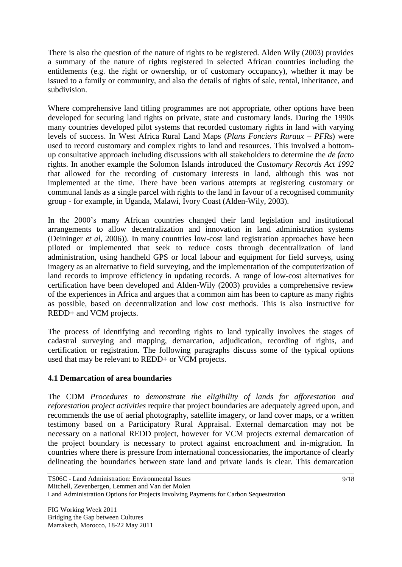There is also the question of the nature of rights to be registered. Alden Wily (2003) provides a summary of the nature of rights registered in selected African countries including the entitlements (e.g. the right or ownership, or of customary occupancy), whether it may be issued to a family or community, and also the details of rights of sale, rental, inheritance, and subdivision.

Where comprehensive land titling programmes are not appropriate, other options have been developed for securing land rights on private, state and customary lands. During the 1990s many countries developed pilot systems that recorded customary rights in land with varying levels of success. In West Africa Rural Land Maps (*Plans Fonciers Ruraux – PFR*s) were used to record customary and complex rights to land and resources. This involved a bottomup consultative approach including discussions with all stakeholders to determine the *de facto*  rights. In another example the Solomon Islands introduced the *Customary Records Act 1992* that allowed for the recording of customary interests in land, although this was not implemented at the time. There have been various attempts at registering customary or communal lands as a single parcel with rights to the land in favour of a recognised community group - for example, in Uganda, Malawi, Ivory Coast (Alden-Wily, 2003).

In the 2000's many African countries changed their land legislation and institutional arrangements to allow decentralization and innovation in land administration systems (Deininger *et al*, 2006)). In many countries low-cost land registration approaches have been piloted or implemented that seek to reduce costs through decentralization of land administration, using handheld GPS or local labour and equipment for field surveys, using imagery as an alternative to field surveying, and the implementation of the computerization of land records to improve efficiency in updating records. A range of low-cost alternatives for certification have been developed and Alden-Wily (2003) provides a comprehensive review of the experiences in Africa and argues that a common aim has been to capture as many rights as possible, based on decentralization and low cost methods. This is also instructive for REDD+ and VCM projects.

The process of identifying and recording rights to land typically involves the stages of cadastral surveying and mapping, demarcation, adjudication, recording of rights, and certification or registration. The following paragraphs discuss some of the typical options used that may be relevant to REDD+ or VCM projects.

# **4.1 Demarcation of area boundaries**

The CDM *Procedures to demonstrate the eligibility of lands for afforestation and reforestation project activities* require that project boundaries are adequately agreed upon, and recommends the use of aerial photography, satellite imagery, or land cover maps, or a written testimony based on a Participatory Rural Appraisal. External demarcation may not be necessary on a national REDD project, however for VCM projects external demarcation of the project boundary is necessary to protect against encroachment and in-migration. In countries where there is pressure from international concessionaries, the importance of clearly delineating the boundaries between state land and private lands is clear. This demarcation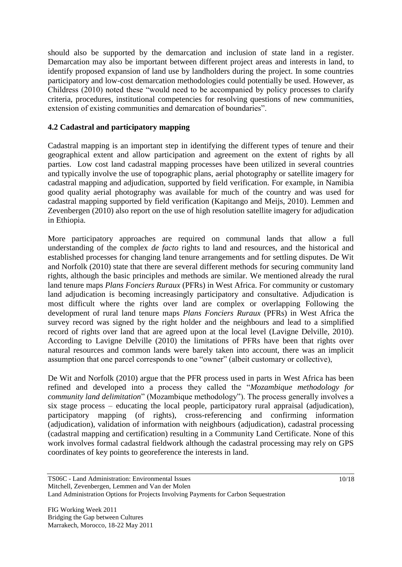should also be supported by the demarcation and inclusion of state land in a register. Demarcation may also be important between different project areas and interests in land, to identify proposed expansion of land use by landholders during the project. In some countries participatory and low-cost demarcation methodologies could potentially be used. However, as Childress (2010) noted these "would need to be accompanied by policy processes to clarify criteria, procedures, institutional competencies for resolving questions of new communities, extension of existing communities and demarcation of boundaries".

## **4.2 Cadastral and participatory mapping**

Cadastral mapping is an important step in identifying the different types of tenure and their geographical extent and allow participation and agreement on the extent of rights by all parties. Low cost land cadastral mapping processes have been utilized in several countries and typically involve the use of topographic plans, aerial photography or satellite imagery for cadastral mapping and adjudication, supported by field verification. For example, in Namibia good quality aerial photography was available for much of the country and was used for cadastral mapping supported by field verification (Kapitango and Meijs, 2010). Lemmen and Zevenbergen (2010) also report on the use of high resolution satellite imagery for adjudication in Ethiopia.

More participatory approaches are required on communal lands that allow a full understanding of the complex *de facto* rights to land and resources, and the historical and established processes for changing land tenure arrangements and for settling disputes. De Wit and Norfolk (2010) state that there are several different methods for securing community land rights, although the basic principles and methods are similar. We mentioned already the rural land tenure maps *Plans Fonciers Ruraux* (PFRs) in West Africa. For community or customary land adjudication is becoming increasingly participatory and consultative. Adjudication is most difficult where the rights over land are complex or overlapping Following the development of rural land tenure maps *Plans Fonciers Ruraux* (PFRs) in West Africa the survey record was signed by the right holder and the neighbours and lead to a simplified record of rights over land that are agreed upon at the local level (Lavigne Delville, 2010). According to Lavigne Delville (2010) the limitations of PFRs have been that rights over natural resources and common lands were barely taken into account, there was an implicit assumption that one parcel corresponds to one "owner" (albeit customary or collective),

De Wit and Norfolk (2010) argue that the PFR process used in parts in West Africa has been refined and developed into a process they called the "*Mozambique methodology for community land delimitation*" (Mozambique methodology"). The process generally involves a six stage process – educating the local people, participatory rural appraisal (adjudication), participatory mapping (of rights), cross-referencing and confirming information (adjudication), validation of information with neighbours (adjudication), cadastral processing (cadastral mapping and certification) resulting in a Community Land Certificate. None of this work involves formal cadastral fieldwork although the cadastral processing may rely on GPS coordinates of key points to georeference the interests in land.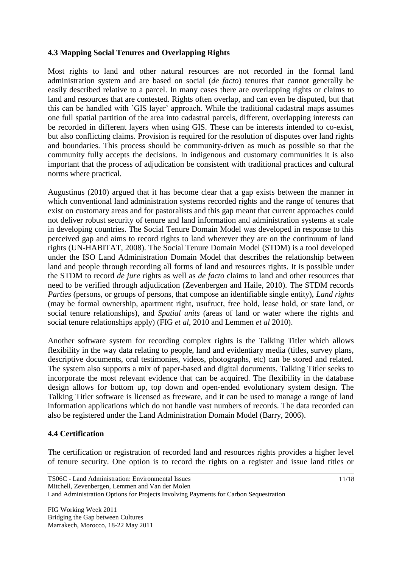### **4.3 Mapping Social Tenures and Overlapping Rights**

Most rights to land and other natural resources are not recorded in the formal land administration system and are based on social (*de facto*) tenures that cannot generally be easily described relative to a parcel. In many cases there are overlapping rights or claims to land and resources that are contested. Rights often overlap, and can even be disputed, but that this can be handled with 'GIS layer' approach. While the traditional cadastral maps assumes one full spatial partition of the area into cadastral parcels, different, overlapping interests can be recorded in different layers when using GIS. These can be interests intended to co-exist, but also conflicting claims. Provision is required for the resolution of disputes over land rights and boundaries. This process should be community-driven as much as possible so that the community fully accepts the decisions. In indigenous and customary communities it is also important that the process of adjudication be consistent with traditional practices and cultural norms where practical.

Augustinus (2010) argued that it has become clear that a gap exists between the manner in which conventional land administration systems recorded rights and the range of tenures that exist on customary areas and for pastoralists and this gap meant that current approaches could not deliver robust security of tenure and land information and administration systems at scale in developing countries. The Social Tenure Domain Model was developed in response to this perceived gap and aims to record rights to land wherever they are on the continuum of land rights (UN-HABITAT, 2008). The Social Tenure Domain Model (STDM) is a tool developed under the ISO Land Administration Domain Model that describes the relationship between land and people through recording all forms of land and resources rights. It is possible under the STDM to record *de jure* rights as well as *de facto* claims to land and other resources that need to be verified through adjudication (Zevenbergen and Haile, 2010). The STDM records *Parties* (persons, or groups of persons, that compose an identifiable single entity), *Land rights*  (may be formal ownership, apartment right, usufruct, free hold, lease hold, or state land, or social tenure relationships), and *Spatial units* (areas of land or water where the rights and social tenure relationships apply) (FIG *et al*, 2010 and Lemmen *et al* 2010).

Another software system for recording complex rights is the Talking Titler which allows flexibility in the way data relating to people, land and evidentiary media (titles, survey plans, descriptive documents, oral testimonies, videos, photographs, etc) can be stored and related. The system also supports a mix of paper-based and digital documents. Talking Titler seeks to incorporate the most relevant evidence that can be acquired. The flexibility in the database design allows for bottom up, top down and open-ended evolutionary system design. The Talking Titler software is licensed as freeware, and it can be used to manage a range of land information applications which do not handle vast numbers of records. The data recorded can also be registered under the Land Administration Domain Model (Barry, 2006).

# **4.4 Certification**

The certification or registration of recorded land and resources rights provides a higher level of tenure security. One option is to record the rights on a register and issue land titles or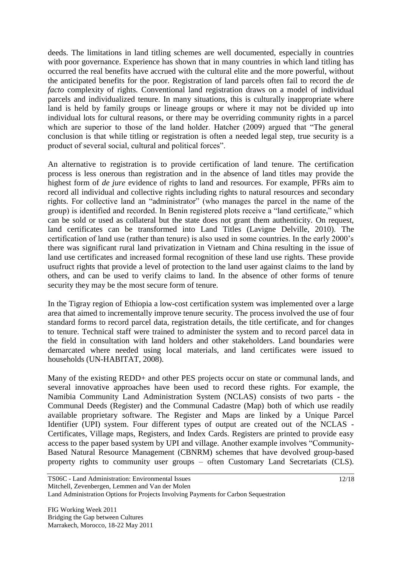deeds. The limitations in land titling schemes are well documented, especially in countries with poor governance. Experience has shown that in many countries in which land titling has occurred the real benefits have accrued with the cultural elite and the more powerful, without the anticipated benefits for the poor. Registration of land parcels often fail to record the *de facto* complexity of rights. Conventional land registration draws on a model of individual parcels and individualized tenure. In many situations, this is culturally inappropriate where land is held by family groups or lineage groups or where it may not be divided up into individual lots for cultural reasons, or there may be overriding community rights in a parcel which are superior to those of the land holder. Hatcher (2009) argued that "The general conclusion is that while titling or registration is often a needed legal step, true security is a product of several social, cultural and political forces".

An alternative to registration is to provide certification of land tenure. The certification process is less onerous than registration and in the absence of land titles may provide the highest form of *de jure* evidence of rights to land and resources. For example, PFRs aim to record all individual and collective rights including rights to natural resources and secondary rights. For collective land an "administrator" (who manages the parcel in the name of the group) is identified and recorded. In Benin registered plots receive a "land certificate," which can be sold or used as collateral but the state does not grant them authenticity. On request, land certificates can be transformed into Land Titles (Lavigne Delville, 2010). The certification of land use (rather than tenure) is also used in some countries. In the early 2000's there was significant rural land privatization in Vietnam and China resulting in the issue of land use certificates and increased formal recognition of these land use rights. These provide usufruct rights that provide a level of protection to the land user against claims to the land by others, and can be used to verify claims to land. In the absence of other forms of tenure security they may be the most secure form of tenure.

In the Tigray region of Ethiopia a low-cost certification system was implemented over a large area that aimed to incrementally improve tenure security. The process involved the use of four standard forms to record parcel data, registration details, the title certificate, and for changes to tenure. Technical staff were trained to administer the system and to record parcel data in the field in consultation with land holders and other stakeholders. Land boundaries were demarcated where needed using local materials, and land certificates were issued to households (UN-HABITAT, 2008).

Many of the existing REDD+ and other PES projects occur on state or communal lands, and several innovative approaches have been used to record these rights. For example, the Namibia Community Land Administration System (NCLAS) consists of two parts - the Communal Deeds (Register) and the Communal Cadastre (Map) both of which use readily available proprietary software. The Register and Maps are linked by a Unique Parcel Identifier (UPI) system. Four different types of output are created out of the NCLAS - Certificates, Village maps, Registers, and Index Cards. Registers are printed to provide easy access to the paper based system by UPI and village. Another example involves "Community-Based Natural Resource Management (CBNRM) schemes that have devolved group-based property rights to community user groups – often Customary Land Secretariats (CLS).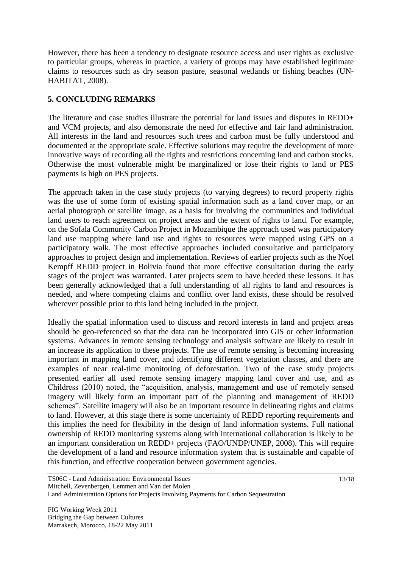However, there has been a tendency to designate resource access and user rights as exclusive to particular groups, whereas in practice, a variety of groups may have established legitimate claims to resources such as dry season pasture, seasonal wetlands or fishing beaches (UN-HABITAT, 2008).

## **5. CONCLUDING REMARKS**

The literature and case studies illustrate the potential for land issues and disputes in REDD+ and VCM projects, and also demonstrate the need for effective and fair land administration. All interests in the land and resources such trees and carbon must be fully understood and documented at the appropriate scale. Effective solutions may require the development of more innovative ways of recording all the rights and restrictions concerning land and carbon stocks. Otherwise the most vulnerable might be marginalized or lose their rights to land or PES payments is high on PES projects.

The approach taken in the case study projects (to varying degrees) to record property rights was the use of some form of existing spatial information such as a land cover map, or an aerial photograph or satellite image, as a basis for involving the communities and individual land users to reach agreement on project areas and the extent of rights to land. For example, on the Sofala Community Carbon Project in Mozambique the approach used was participatory land use mapping where land use and rights to resources were mapped using GPS on a participatory walk. The most effective approaches included consultative and participatory approaches to project design and implementation. Reviews of earlier projects such as the Noel Kempff REDD project in Bolivia found that more effective consultation during the early stages of the project was warranted. Later projects seem to have heeded these lessons. It has been generally acknowledged that a full understanding of all rights to land and resources is needed, and where competing claims and conflict over land exists, these should be resolved wherever possible prior to this land being included in the project.

Ideally the spatial information used to discuss and record interests in land and project areas should be geo-referenced so that the data can be incorporated into GIS or other information systems. Advances in remote sensing technology and analysis software are likely to result in an increase its application to these projects. The use of remote sensing is becoming increasing important in mapping land cover, and identifying different vegetation classes, and there are examples of near real-time monitoring of deforestation. Two of the case study projects presented earlier all used remote sensing imagery mapping land cover and use, and as Childress (2010) noted, the "acquisition, analysis, management and use of remotely sensed imagery will likely form an important part of the planning and management of REDD schemes". Satellite imagery will also be an important resource in delineating rights and claims to land. However, at this stage there is some uncertainty of REDD reporting requirements and this implies the need for flexibility in the design of land information systems. Full national ownership of REDD monitoring systems along with international collaboration is likely to be an important consideration on REDD+ projects (FAO/UNDP/UNEP, 2008). This will require the development of a land and resource information system that is sustainable and capable of this function, and effective cooperation between government agencies.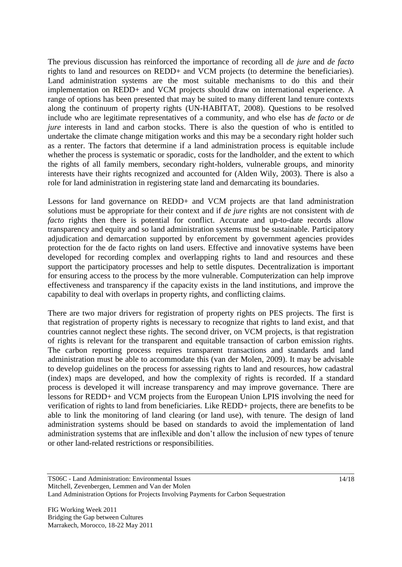The previous discussion has reinforced the importance of recording all *de jure* and *de facto* rights to land and resources on REDD+ and VCM projects (to determine the beneficiaries). Land administration systems are the most suitable mechanisms to do this and their implementation on REDD+ and VCM projects should draw on international experience. A range of options has been presented that may be suited to many different land tenure contexts along the continuum of property rights (UN-HABITAT, 2008). Questions to be resolved include who are legitimate representatives of a community, and who else has *de facto* or *de jure* interests in land and carbon stocks. There is also the question of who is entitled to undertake the climate change mitigation works and this may be a secondary right holder such as a renter. The factors that determine if a land administration process is equitable include whether the process is systematic or sporadic, costs for the landholder, and the extent to which the rights of all family members, secondary right-holders, vulnerable groups, and minority interests have their rights recognized and accounted for (Alden Wily, 2003). There is also a role for land administration in registering state land and demarcating its boundaries.

Lessons for land governance on REDD+ and VCM projects are that land administration solutions must be appropriate for their context and if *de jure* rights are not consistent with *de facto* rights then there is potential for conflict. Accurate and up-to-date records allow transparency and equity and so land administration systems must be sustainable. Participatory adjudication and demarcation supported by enforcement by government agencies provides protection for the de facto rights on land users. Effective and innovative systems have been developed for recording complex and overlapping rights to land and resources and these support the participatory processes and help to settle disputes. Decentralization is important for ensuring access to the process by the more vulnerable. Computerization can help improve effectiveness and transparency if the capacity exists in the land institutions, and improve the capability to deal with overlaps in property rights, and conflicting claims.

There are two major drivers for registration of property rights on PES projects. The first is that registration of property rights is necessary to recognize that rights to land exist, and that countries cannot neglect these rights. The second driver, on VCM projects, is that registration of rights is relevant for the transparent and equitable transaction of carbon emission rights. The carbon reporting process requires transparent transactions and standards and land administration must be able to accommodate this (van der Molen, 2009). It may be advisable to develop guidelines on the process for assessing rights to land and resources, how cadastral (index) maps are developed, and how the complexity of rights is recorded. If a standard process is developed it will increase transparency and may improve governance. There are lessons for REDD+ and VCM projects from the European Union LPIS involving the need for verification of rights to land from beneficiaries. Like REDD+ projects, there are benefits to be able to link the monitoring of land clearing (or land use), with tenure. The design of land administration systems should be based on standards to avoid the implementation of land administration systems that are inflexible and don't allow the inclusion of new types of tenure or other land-related restrictions or responsibilities.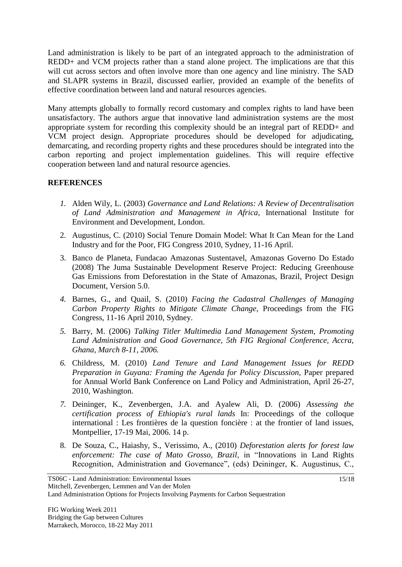Land administration is likely to be part of an integrated approach to the administration of REDD+ and VCM projects rather than a stand alone project. The implications are that this will cut across sectors and often involve more than one agency and line ministry. The SAD and SLAPR systems in Brazil, discussed earlier, provided an example of the benefits of effective coordination between land and natural resources agencies.

Many attempts globally to formally record customary and complex rights to land have been unsatisfactory. The authors argue that innovative land administration systems are the most appropriate system for recording this complexity should be an integral part of REDD+ and VCM project design. Appropriate procedures should be developed for adjudicating, demarcating, and recording property rights and these procedures should be integrated into the carbon reporting and project implementation guidelines. This will require effective cooperation between land and natural resource agencies.

## **REFERENCES**

- *1.* Alden Wily, L. (2003) *Governance and Land Relations: A Review of Decentralisation of Land Administration and Management in Africa,* International Institute for Environment and Development, London.
- 2. Augustinus, C. (2010) Social Tenure Domain Model: What It Can Mean for the Land Industry and for the Poor, FIG Congress 2010, Sydney, 11-16 April.
- 3. Banco de Planeta, Fundacao Amazonas Sustentavel, Amazonas Governo Do Estado (2008) The Juma Sustainable Development Reserve Project: Reducing Greenhouse Gas Emissions from Deforestation in the State of Amazonas, Brazil, Project Design Document, Version 5.0.
- *4.* Barnes, G., and Quail, S. (2010) *Facing the Cadastral Challenges of Managing Carbon Property Rights to Mitigate Climate Change,* Proceedings from the FIG Congress, 11-16 April 2010, Sydney.
- *5.* Barry, M. (2006) *Talking Titler Multimedia Land Management System, Promoting Land Administration and Good Governance, 5th FIG Regional Conference, Accra, Ghana, March 8-11, 2006.*
- *6.* Childress, M. (2010) *Land Tenure and Land Management Issues for REDD Preparation in Guyana: Framing the Agenda for Policy Discussion, Paper prepared* for Annual World Bank Conference on Land Policy and Administration, April 26-27, 2010, Washington.
- *7.* Deininger, K., Zevenbergen, J.A. and Ayalew Ali, D. (2006) *Assessing the certification process of Ethiopia's rural lands* In: Proceedings of the colloque international : Les frontières de la question foncière : at the frontier of land issues, Montpellier, 17-19 Mai, 2006. 14 p.
- 8. De Souza, C., Haiashy, S., Verissimo, A., (2010) *Deforestation alerts for forest law enforcement: The case of Mato Grosso, Brazil*, in "Innovations in Land Rights Recognition, Administration and Governance", (eds) Deininger, K. Augustinus, C.,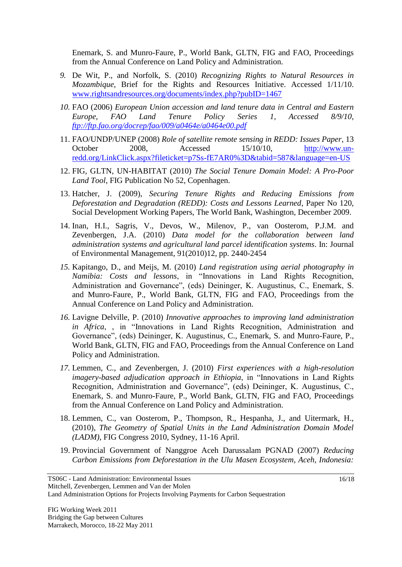Enemark, S. and Munro-Faure, P., World Bank, GLTN, FIG and FAO, Proceedings from the Annual Conference on Land Policy and Administration.

- *9.* De Wit, P., and Norfolk, S. (2010) *Recognizing Rights to Natural Resources in Mozambique*, Brief for the Rights and Resources Initiative. Accessed 1/11/10. [www.rightsandresources.org/documents/index.php?pubID=1467](http://www.rightsandresources.org/documents/index.php?pubID=1467)
- *10.* FAO (2006) *European Union accession and land tenure data in Central and Eastern Europe, FAO Land Tenure Policy Series 1, Accessed 8/9/10, <ftp://ftp.fao.org/docrep/fao/009/a0464e/a0464e00.pdf>*
- 11. FAO/UNDP/UNEP (2008) *Role of satellite remote sensing in REDD: Issues Paper*, 13 October 2008, Accessed 15/10/10, [http://www.un](http://www.un-redd.org/LinkClick.aspx?fileticket=p7Ss-fE7AR0%3D&tabid=587&language=en-US)[redd.org/LinkClick.aspx?fileticket=p7Ss-fE7AR0%3D&tabid=587&language=en-US](http://www.un-redd.org/LinkClick.aspx?fileticket=p7Ss-fE7AR0%3D&tabid=587&language=en-US)
- 12. FIG, GLTN, UN-HABITAT (2010) *The Social Tenure Domain Model: A Pro-Poor Land Tool*, FIG Publication No 52, Copenhagen.
- 13. Hatcher, J. (2009), *Securing Tenure Rights and Reducing Emissions from Deforestation and Degradation (REDD): Costs and Lessons Learned*, Paper No 120, Social Development Working Papers, The World Bank, Washington, December 2009.
- 14. Inan, H.I., Sagris, V., Devos, W., Milenov, P., van Oosterom, P.J.M. and Zevenbergen, J.A. (2010) *Data model for the collaboration between land administration systems and agricultural land parcel identification systems*. In: Journal of Environmental Management, 91(2010)12, pp. 2440-2454
- *15.* Kapitango, D., and Meijs, M. (2010) *Land registration using aerial photography in Namibia: Costs and lessons*, in "Innovations in Land Rights Recognition, Administration and Governance", (eds) Deininger, K. Augustinus, C., Enemark, S. and Munro-Faure, P., World Bank, GLTN, FIG and FAO, Proceedings from the Annual Conference on Land Policy and Administration.
- *16.* Lavigne Delville, P. (2010) *Innovative approaches to improving land administration in Africa*, , in "Innovations in Land Rights Recognition, Administration and Governance", (eds) Deininger, K. Augustinus, C., Enemark, S. and Munro-Faure, P., World Bank, GLTN, FIG and FAO, Proceedings from the Annual Conference on Land Policy and Administration.
- *17.* Lemmen, C., and Zevenbergen, J. (2010) *First experiences with a high-resolution imagery-based adjudication approach in Ethiopia*, in "Innovations in Land Rights Recognition, Administration and Governance", (eds) Deininger, K. Augustinus, C., Enemark, S. and Munro-Faure, P., World Bank, GLTN, FIG and FAO, Proceedings from the Annual Conference on Land Policy and Administration.
- 18. Lemmen, C., van Oosterom, P., Thompson, R., Hespanha, J., and Uitermark, H., (2010), *The Geometry of Spatial Units in the Land Administration Domain Model (LADM)*, FIG Congress 2010, Sydney, 11-16 April.
- 19. Provincial Government of Nanggroe Aceh Darussalam PGNAD (2007) *Reducing Carbon Emissions from Deforestation in the Ulu Masen Ecosystem, Aceh, Indonesia:*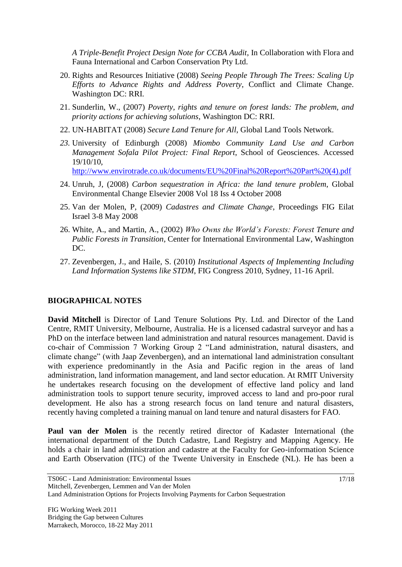*A Triple-Benefit Project Design Note for CCBA Audit*, In Collaboration with Flora and Fauna International and Carbon Conservation Pty Ltd.

- 20. Rights and Resources Initiative (2008) *Seeing People Through The Trees: Scaling Up Efforts to Advance Rights and Address Poverty*, Conflict and Climate Change. Washington DC: RRI.
- 21. Sunderlin, W., (2007) *Poverty, rights and tenure on forest lands: The problem, and priority actions for achieving solutions*, Washington DC: RRI.
- 22. UN-HABITAT (2008) *Secure Land Tenure for All*, Global Land Tools Network.
- *23.* University of Edinburgh (2008) *Miombo Community Land Use and Carbon Management Sofala Pilot Project: Final Report*, School of Geosciences. Accessed 19/10/10, [http://www.envirotrade.co.uk/documents/EU%20Final%20Report%20Part%20\(4\).pdf](http://www.envirotrade.co.uk/documents/EU%20Final%20Report%20Part%20(4).pdf)
- 24. Unruh, J, (2008) *Carbon sequestration in Africa: the land tenure problem*, Global Environmental Change Elsevier 2008 Vol 18 Iss 4 October 2008
- 25. Van der Molen, P, (2009) *Cadastres and Climate Change*, Proceedings FIG Eilat Israel 3-8 May 2008
- 26. White, A., and Martin, A., (2002) *Who Owns the World's Forests: Forest Tenure and Public Forests in Transition*, Center for International Environmental Law, Washington DC.
- 27. Zevenbergen, J., and Haile, S. (2010) *Institutional Aspects of Implementing Including Land Information Systems like STDM*, FIG Congress 2010, Sydney, 11-16 April.

#### **BIOGRAPHICAL NOTES**

**David Mitchell** is Director of Land Tenure Solutions Pty. Ltd. and Director of the Land Centre, RMIT University, Melbourne, Australia. He is a licensed cadastral surveyor and has a PhD on the interface between land administration and natural resources management. David is co-chair of Commission 7 Working Group 2 "Land administration, natural disasters, and climate change" (with Jaap Zevenbergen), and an international land administration consultant with experience predominantly in the Asia and Pacific region in the areas of land administration, land information management, and land sector education. At RMIT University he undertakes research focusing on the development of effective land policy and land administration tools to support tenure security, improved access to land and pro-poor rural development. He also has a strong research focus on land tenure and natural disasters, recently having completed a training manual on land tenure and natural disasters for FAO.

**Paul van der Molen** is the recently retired director of Kadaster International (the international department of the Dutch Cadastre, Land Registry and Mapping Agency. He holds a chair in land administration and cadastre at the Faculty for Geo-information Science and Earth Observation (ITC) of the Twente University in Enschede (NL). He has been a